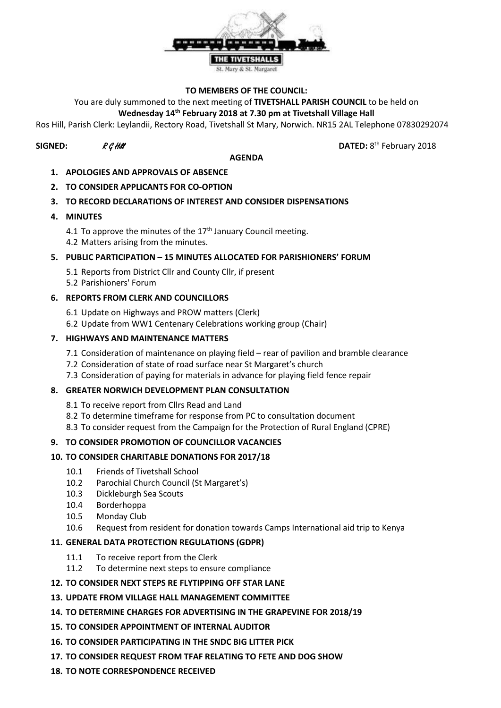

#### **TO MEMBERS OF THE COUNCIL:**

You are duly summoned to the next meeting of **TIVETSHALL PARISH COUNCIL** to be held on

# **Wednesday 14th February 2018 at 7.30 pm at Tivetshall Village Hall**

Ros Hill, Parish Clerk: Leylandii, Rectory Road, Tivetshall St Mary, Norwich. NR15 2AL Telephone 07830292074

# **SIGNED:**  $R \mathcal{G}$  Hill **DATED:** 8

#### **AGENDA**

DATED: 8<sup>th</sup> February 2018

- **1. APOLOGIES AND APPROVALS OF ABSENCE**
- **2. TO CONSIDER APPLICANTS FOR CO-OPTION**

# **3. TO RECORD DECLARATIONS OF INTEREST AND CONSIDER DISPENSATIONS**

**4. MINUTES**

4.1 To approve the minutes of the  $17<sup>th</sup>$  January Council meeting. 4.2 Matters arising from the minutes.

## **5. PUBLIC PARTICIPATION – 15 MINUTES ALLOCATED FOR PARISHIONERS' FORUM**

- 5.1 Reports from District Cllr and County Cllr, if present
- 5.2 Parishioners' Forum

## **6. REPORTS FROM CLERK AND COUNCILLORS**

- 6.1 Update on Highways and PROW matters (Clerk)
- 6.2 Update from WW1 Centenary Celebrations working group (Chair)

## **7. HIGHWAYS AND MAINTENANCE MATTERS**

- 7.1 Consideration of maintenance on playing field rear of pavilion and bramble clearance
- 7.2 Consideration of state of road surface near St Margaret's church
- 7.3 Consideration of paying for materials in advance for playing field fence repair

## **8. GREATER NORWICH DEVELOPMENT PLAN CONSULTATION**

- 8.1 To receive report from Cllrs Read and Land
- 8.2 To determine timeframe for response from PC to consultation document
- 8.3 To consider request from the Campaign for the Protection of Rural England (CPRE)

# **9. TO CONSIDER PROMOTION OF COUNCILLOR VACANCIES**

# **10. TO CONSIDER CHARITABLE DONATIONS FOR 2017/18**

- 10.1 Friends of Tivetshall School
- 10.2 Parochial Church Council (St Margaret's)
- 10.3 Dickleburgh Sea Scouts
- 10.4 Borderhoppa
- 10.5 Monday Club
- 10.6 Request from resident for donation towards Camps International aid trip to Kenya

#### **11. GENERAL DATA PROTECTION REGULATIONS (GDPR)**

- 11.1 To receive report from the Clerk
- 11.2 To determine next steps to ensure compliance
- **12. TO CONSIDER NEXT STEPS RE FLYTIPPING OFF STAR LANE**

#### **13. UPDATE FROM VILLAGE HALL MANAGEMENT COMMITTEE**

- **14. TO DETERMINE CHARGES FOR ADVERTISING IN THE GRAPEVINE FOR 2018/19**
- **15. TO CONSIDER APPOINTMENT OF INTERNAL AUDITOR**
- **16. TO CONSIDER PARTICIPATING IN THE SNDC BIG LITTER PICK**
- **17. TO CONSIDER REQUEST FROM TFAF RELATING TO FETE AND DOG SHOW**
- **18. TO NOTE CORRESPONDENCE RECEIVED**